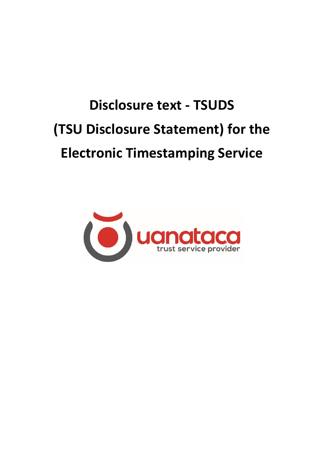# **Disclosure text - TSUDS (TSU Disclosure Statement) for the Electronic Timestamping Service**

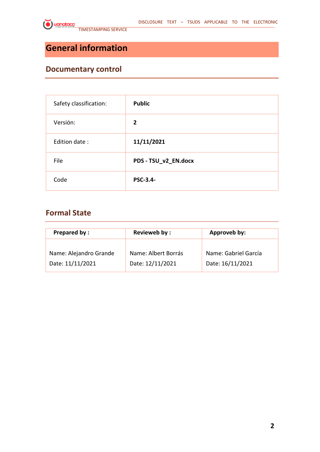# **General information**

## **Documentary control**

| Safety classification: | <b>Public</b>        |
|------------------------|----------------------|
| Versión:               | $\overline{2}$       |
| Edition date:          | 11/11/2021           |
| File                   | PDS - TSU_v2_EN.docx |
| Code                   | <b>PSC-3.4-</b>      |

## **Formal State**

| <b>Prepared by:</b>    | Revieweb by:        | Approveb by:         |  |
|------------------------|---------------------|----------------------|--|
| Name: Alejandro Grande | Name: Albert Borrás | Name: Gabriel García |  |
| Date: 11/11/2021       | Date: 12/11/2021    | Date: 16/11/2021     |  |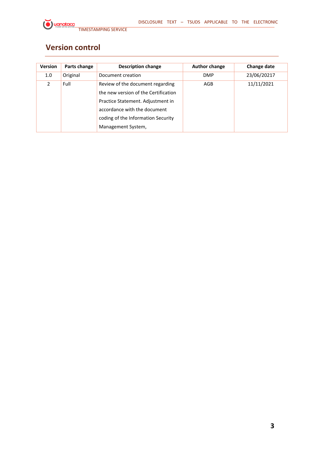# **Version control**

| <b>Version</b>   | Parts change | <b>Description change</b>                                                                                                                                                                                 | <b>Author change</b> | <b>Change date</b> |
|------------------|--------------|-----------------------------------------------------------------------------------------------------------------------------------------------------------------------------------------------------------|----------------------|--------------------|
| 1.0 <sub>1</sub> | Original     | Document creation                                                                                                                                                                                         | <b>DMP</b>           | 23/06/20217        |
| $\mathcal{P}$    | Full         | Review of the document regarding<br>the new version of the Certification<br>Practice Statement. Adjustment in<br>accordance with the document<br>coding of the Information Security<br>Management System, | AGB                  | 11/11/2021         |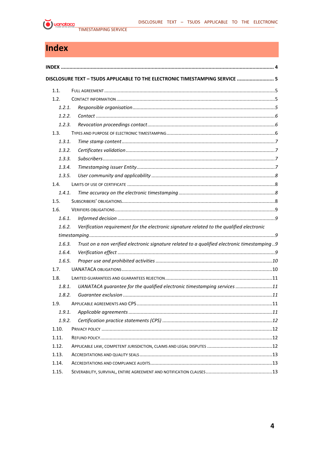

# <span id="page-3-0"></span>Index

|        | DISCLOSURE TEXT - TSUDS APPLICABLE TO THE ELECTRONIC TIMESTAMPING SERVICE  5                 |  |
|--------|----------------------------------------------------------------------------------------------|--|
| 1.1.   |                                                                                              |  |
| 1.2.   |                                                                                              |  |
| 1.2.1. |                                                                                              |  |
| 1.2.2. |                                                                                              |  |
| 1.2.3. |                                                                                              |  |
| 1.3.   |                                                                                              |  |
| 1.3.1. |                                                                                              |  |
| 1.3.2. |                                                                                              |  |
| 1.3.3. |                                                                                              |  |
| 1.3.4. |                                                                                              |  |
| 1.3.5. |                                                                                              |  |
| 1.4.   |                                                                                              |  |
| 1.4.1  |                                                                                              |  |
| 1.5.   |                                                                                              |  |
| 1.6.   |                                                                                              |  |
| 1.6.1. |                                                                                              |  |
| 1.6.2. | Verification requirement for the electronic signature related to the qualified electronic    |  |
|        |                                                                                              |  |
| 1.6.3. | Trust on a non verified electronic signature related to a qualified electronic timestamping9 |  |
| 1.6.4. |                                                                                              |  |
| 1.6.5. |                                                                                              |  |
| 1.7.   |                                                                                              |  |
| 1.8.   |                                                                                              |  |
| 1.8.1. | UANATACA guarantee for the qualified electronic timestamping services 11                     |  |
| 1.8.2. |                                                                                              |  |
| 1.9.   |                                                                                              |  |
| 1.9.1. |                                                                                              |  |
| 1.9.2. |                                                                                              |  |
| 1.10.  |                                                                                              |  |
| 1.11.  |                                                                                              |  |
| 1.12.  |                                                                                              |  |
| 1.13.  |                                                                                              |  |
| 1.14.  |                                                                                              |  |
| 1.15.  |                                                                                              |  |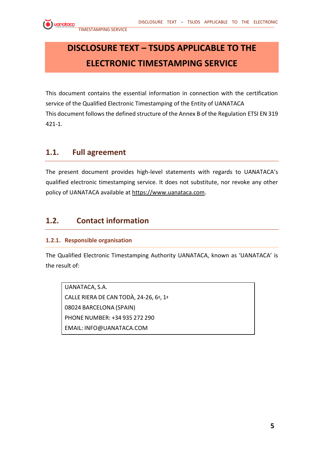# <span id="page-4-0"></span>**DISCLOSURE TEXT – TSUDS APPLICABLE TO THE ELECTRONIC TIMESTAMPING SERVICE**

This document contains the essential information in connection with the certification service of the Qualified Electronic Timestamping of the Entity of UANATACA This document follows the defined structure of the Annex B of the Regulation ETSI EN 319 421-1.

## <span id="page-4-1"></span>**1.1. Full agreement**

The present document provides high-level statements with regards to UANATACA's qualified electronic timestamping service. It does not substitute, nor revoke any other policy of UANATACA available at [https://www.uanataca.com.](https://www.uanataca.com/)

## <span id="page-4-2"></span>**1.2. Contact information**

#### <span id="page-4-3"></span>**1.2.1. Responsible organisation**

The Qualified Electronic Timestamping Authority UANATACA, known as 'UANATACA' is the result of:

UANATACA, S.A. CALLE RIERA DE CAN TODÀ, 24-26, 6º, 1ª 08024 BARCELONA (SPAIN) PHONE NUMBER: +34 935 272 290 EMAIL: INFO@UANATACA.COM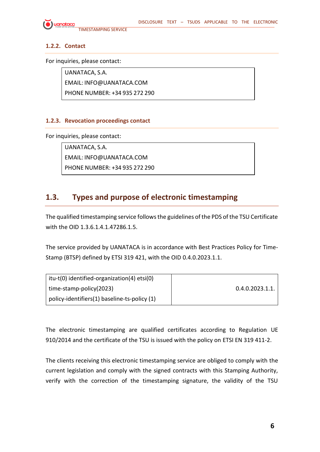

#### <span id="page-5-0"></span>**1.2.2. Contact**

For inquiries, please contact:

UANATACA, S.A. EMAIL: INFO@UANATACA.COM PHONE NUMBER: +34 935 272 290

#### <span id="page-5-1"></span>**1.2.3. Revocation proceedings contact**

For inquiries, please contact:

UANATACA, S.A. EMAIL: INFO@UANATACA.COM PHONE NUMBER: +34 935 272 290

## <span id="page-5-2"></span>**1.3. Types and purpose of electronic timestamping**

The qualified timestamping service follows the guidelines of the PDS of the TSU Certificate with the OID 1.3.6.1.4.1.47286.1.5.

The service provided by UANATACA is in accordance with Best Practices Policy for Time-Stamp (BTSP) defined by ETSI 319 421, with the OID 0.4.0.2023.1.1.

| itu-t(0) identified-organization(4) etsi(0)  |                 |
|----------------------------------------------|-----------------|
| time-stamp-policy(2023)                      | 0.4.0.2023.1.1. |
| policy-identifiers(1) baseline-ts-policy (1) |                 |

The electronic timestamping are qualified certificates according to Regulation UE 910/2014 and the certificate of the TSU is issued with the policy on ETSI EN 319 411-2.

The clients receiving this electronic timestamping service are obliged to comply with the current legislation and comply with the signed contracts with this Stamping Authority, verify with the correction of the timestamping signature, the validity of the TSU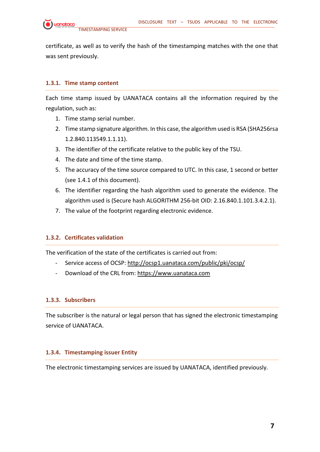

certificate, as well as to verify the hash of the timestamping matches with the one that was sent previously.

#### <span id="page-6-0"></span>**1.3.1. Time stamp content**

Each time stamp issued by UANATACA contains all the information required by the regulation, such as:

- 1. Time stamp serial number.
- 2. Time stamp signature algorithm. In this case, the algorithm used is RSA (SHA256rsa 1.2.840.113549.1.1.11).
- 3. The identifier of the certificate relative to the public key of the TSU.
- 4. The date and time of the time stamp.
- 5. The accuracy of the time source compared to UTC. In this case, 1 second or better (see 1.4.1 of this document).
- 6. The identifier regarding the hash algorithm used to generate the evidence. The algorithm used is (Secure hash ALGORITHM 256-bit OID: 2.16.840.1.101.3.4.2.1).
- 7. The value of the footprint regarding electronic evidence.

#### <span id="page-6-1"></span>**1.3.2. Certificates validation**

The verification of the state of the certificates is carried out from:

- Service access of OCSP: <http://ocsp1.uanataca.com/public/pki/ocsp/>
- Download of the CRL from: [https://www.uanataca.com](https://www.uanataca.com/)

#### <span id="page-6-2"></span>**1.3.3. Subscribers**

The subscriber is the natural or legal person that has signed the electronic timestamping service of UANATACA.

#### <span id="page-6-3"></span>**1.3.4. Timestamping issuer Entity**

The electronic timestamping services are issued by UANATACA, identified previously.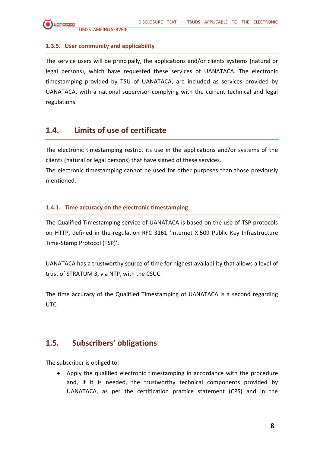#### <span id="page-7-0"></span>**1.3.5. User community and applicability**

The service users will be principally, the applications and/or clients systems (natural or legal persons), which have requested these services of UANATACA. The electronic timestamping provided by TSU of UANATACA, are included as services provided by UANATACA, with a national supervisor complying with the current technical and legal regulations.

## <span id="page-7-1"></span>**1.4. Limits of use of certificate**

The electronic timestamping restrict its use in the applications and/or systems of the clients (natural or legal persons) that have signed of these services.

The electronic timestamping cannot be used for other purposes than those previously mentioned.

#### <span id="page-7-2"></span>**1.4.1. Time accuracy on the electronic timestamping**

The Qualified Timestamping service of UANATACA is based on the use of TSP protocols on HTTP, defined in the regulation RFC 3161 'Internet X.509 Public Key Infrastructure Time-Stamp Protocol (TSP)'.

UANATACA has a trustworthy source of time for highest availability that allows a level of trust of STRATUM 3, via NTP, with the CSUC.

The time accuracy of the Qualified Timestamping of UANATACA is a second regarding UTC.

## <span id="page-7-3"></span>**1.5. Subscribers' obligations**

The subscriber is obliged to:

• Apply the qualified electronic timestamping in accordance with the procedure and, if it is needed, the trustworthy technical components provided by UANATACA, as per the certification practice statement (CPS) and in the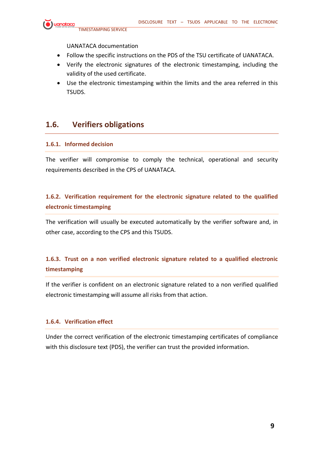

UANATACA documentation

- Follow the specific instructions on the PDS of the TSU certificate of UANATACA.
- Verify the electronic signatures of the electronic timestamping, including the validity of the used certificate.
- Use the electronic timestamping within the limits and the area referred in this TSUDS.

## <span id="page-8-0"></span>**1.6. Verifiers obligations**

#### <span id="page-8-1"></span>**1.6.1. Informed decision**

The verifier will compromise to comply the technical, operational and security requirements described in the CPS of UANATACA.

#### <span id="page-8-2"></span>**1.6.2. Verification requirement for the electronic signature related to the qualified electronic timestamping**

The verification will usually be executed automatically by the verifier software and, in other case, according to the CPS and this TSUDS.

## <span id="page-8-3"></span>**1.6.3. Trust on a non verified electronic signature related to a qualified electronic timestamping**

If the verifier is confident on an electronic signature related to a non verified qualified electronic timestamping will assume all risks from that action.

#### <span id="page-8-4"></span>**1.6.4. Verification effect**

Under the correct verification of the electronic timestamping certificates of compliance with this disclosure text (PDS), the verifier can trust the provided information.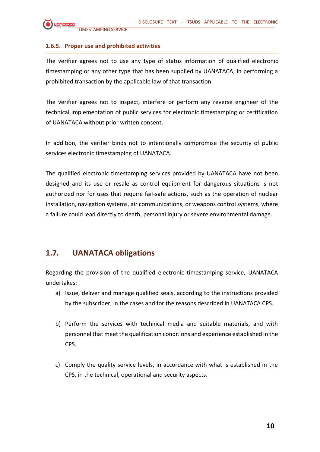

#### <span id="page-9-0"></span>**1.6.5. Proper use and prohibited activities**

The verifier agrees not to use any type of status information of qualified electronic timestamping or any other type that has been supplied by UANATACA, in performing a prohibited transaction by the applicable law of that transaction.

The verifier agrees not to inspect, interfere or perform any reverse engineer of the technical implementation of public services for electronic timestamping or certification of UANATACA without prior written consent.

In addition, the verifier binds not to intentionally compromise the security of public services electronic timestamping of UANATACA.

The qualified electronic timestamping services provided by UANATACA have not been designed and its use or resale as control equipment for dangerous situations is not authorized nor for uses that require fail-safe actions, such as the operation of nuclear installation, navigation systems, air communications, or weapons control systems, where a failure could lead directly to death, personal injury or severe environmental damage.

## <span id="page-9-1"></span>**1.7. UANATACA obligations**

Regarding the provision of the qualified electronic timestamping service, UANATACA undertakes:

- a) Issue, deliver and manage qualified seals, according to the instructions provided by the subscriber, in the cases and for the reasons described in UANATACA CPS.
- b) Perform the services with technical media and suitable materials, and with personnel that meet the qualification conditions and experience established in the CPS.
- c) Comply the quality service levels, in accordance with what is established in the CPS, in the technical, operational and security aspects.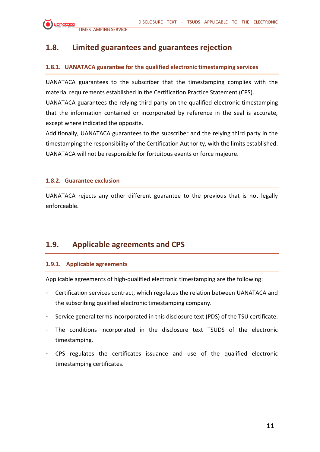## <span id="page-10-0"></span>**1.8. Limited guarantees and guarantees rejection**

#### <span id="page-10-1"></span>**1.8.1. UANATACA guarantee for the qualified electronic timestamping services**

UANATACA guarantees to the subscriber that the timestamping complies with the material requirements established in the Certification Practice Statement (CPS).

UANATACA guarantees the relying third party on the qualified electronic timestamping that the information contained or incorporated by reference in the seal is accurate, except where indicated the opposite.

Additionally, UANATACA guarantees to the subscriber and the relying third party in the timestamping the responsibility of the Certification Authority, with the limits established. UANATACA will not be responsible for fortuitous events or force majeure.

#### <span id="page-10-2"></span>**1.8.2. Guarantee exclusion**

UANATACA rejects any other different guarantee to the previous that is not legally enforceable.

## <span id="page-10-3"></span>**1.9. Applicable agreements and CPS**

#### <span id="page-10-4"></span>**1.9.1. Applicable agreements**

Applicable agreements of high-qualified electronic timestamping are the following:

- Certification services contract, which regulates the relation between UANATACA and the subscribing qualified electronic timestamping company.
- Service general terms incorporated in this disclosure text (PDS) of the TSU certificate.
- The conditions incorporated in the disclosure text TSUDS of the electronic timestamping.
- CPS regulates the certificates issuance and use of the qualified electronic timestamping certificates.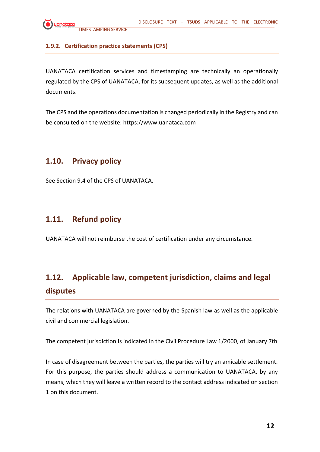

#### <span id="page-11-0"></span>**1.9.2. Certification practice statements (CPS)**

UANATACA certification services and timestamping are technically an operationally regulated by the CPS of UANATACA, for its subsequent updates, as well as the additional documents.

The CPS and the operations documentation is changed periodically in the Registry and can be consulted on the website: https://www.uanataca.com

## <span id="page-11-1"></span>**1.10. Privacy policy**

See Section 9.4 of the CPS of UANATACA.

## <span id="page-11-2"></span>**1.11. Refund policy**

UANATACA will not reimburse the cost of certification under any circumstance.

# <span id="page-11-3"></span>**1.12. Applicable law, competent jurisdiction, claims and legal disputes**

The relations with UANATACA are governed by the Spanish law as well as the applicable civil and commercial legislation.

The competent jurisdiction is indicated in the Civil Procedure Law 1/2000, of January 7th

In case of disagreement between the parties, the parties will try an amicable settlement. For this purpose, the parties should address a communication to UANATACA, by any means, which they will leave a written record to the contact address indicated on section 1 on this document.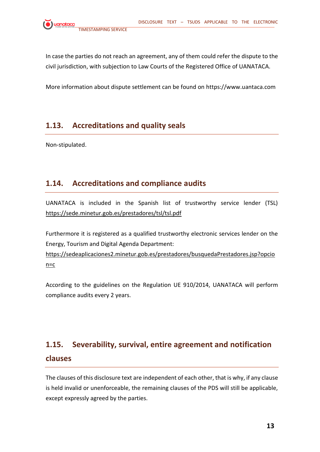In case the parties do not reach an agreement, any of them could refer the dispute to the civil jurisdiction, with subjection to Law Courts of the Registered Office of UANATACA.

More information about dispute settlement can be found on https://www.uantaca.com

## <span id="page-12-0"></span>**1.13. Accreditations and quality seals**

Non-stipulated.

## <span id="page-12-1"></span>**1.14. Accreditations and compliance audits**

UANATACA is included in the Spanish list of trustworthy service lender (TSL) <https://sede.minetur.gob.es/prestadores/tsl/tsl.pdf>

Furthermore it is registered as a qualified trustworthy electronic services lender on the Energy, Tourism and Digital Agenda Department:

[https://sedeaplicaciones2.minetur.gob.es/prestadores/busquedaPrestadores.jsp?opcio](https://sedeaplicaciones2.minetur.gob.es/prestadores/busquedaPrestadores.jsp?opcion=c) [n=c](https://sedeaplicaciones2.minetur.gob.es/prestadores/busquedaPrestadores.jsp?opcion=c)

According to the guidelines on the Regulation UE 910/2014, UANATACA will perform compliance audits every 2 years.

# <span id="page-12-2"></span>**1.15. Severability, survival, entire agreement and notification clauses**

The clauses of this disclosure text are independent of each other, that is why, if any clause is held invalid or unenforceable, the remaining clauses of the PDS will still be applicable, except expressly agreed by the parties.